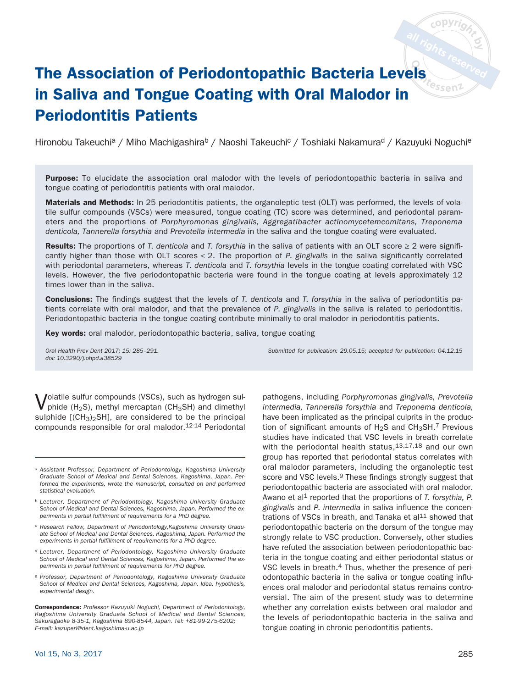# **The Association of Periodontopathic Bacteria Levels in Saliva and Tongue Coating with Oral Malodor in Periodontitis Patients**

Hironobu Takeuchi<sup>a</sup> / Miho Machigashira<sup>b</sup> / Naoshi Takeuchi<sup>c</sup> / Toshiaki Nakamura<sup>d</sup> / Kazuyuki Noguchi<sup>e</sup>

**Purpose:** To elucidate the association oral malodor with the levels of periodontopathic bacteria in saliva and tongue coating of periodontitis patients with oral malodor.

**Materials and Methods:** In 25 periodontitis patients, the organoleptic test (OLT) was performed, the levels of volatile sulfur compounds (VSCs) were measured, tongue coating (TC) score was determined, and periodontal parameters and the proportions of Porphyromonas gingivalis, Aggregatibacter actinomycetemcomitans, Treponema denticola, Tannerella forsythia and Prevotella intermedia in the saliva and the tongue coating were evaluated.

**Results:** The proportions of T. denticola and T. forsythia in the saliva of patients with an OLT score  $\geq 2$  were significantly higher than those with OLT scores < 2. The proportion of P. gingivalis in the saliva significantly correlated with periodontal parameters, whereas T. denticola and T. forsythia levels in the tongue coating correlated with VSC levels. However, the five periodontopathic bacteria were found in the tongue coating at levels approximately 12 times lower than in the saliva.

**Conclusions:** The findings suggest that the levels of T. denticola and T. forsythia in the saliva of periodontitis patients correlate with oral malodor, and that the prevalence of P. gingivalis in the saliva is related to periodontitis. Periodontopathic bacteria in the tongue coating contribute minimally to oral malodor in periodontitis patients.

**Key words:** oral malodor, periodontopathic bacteria, saliva, tongue coating

doi: 10.3290/j.ohpd.a38529

Oral Health Prev Dent 2017; 15: 285–291. Submitted for publication: 29.05.15; accepted for publication: 04.12.15

Volatile sulfur compounds (VSCs), such as hydrogen sulphide (H<sub>2</sub>S), methyl mercaptan (CH<sub>3</sub>SH) and dimethyl sulphide  $[(CH<sub>3</sub>)<sub>2</sub>SH]$ , are considered to be the principal compounds responsible for oral malodor.12-14 Periodontal

- a Assistant Professor, Department of Periodontology, Kagoshima University Graduate School of Medical and Dental Sciences, Kagoshima, Japan. Performed the experiments, wrote the manuscript, consulted on and performed statistical evaluation.
- b Lecturer, Department of Periodontology, Kagoshima University Graduate School of Medical and Dental Sciences, Kagoshima, Japan. Performed the experiments in partial fulfillment of requirements for a PhD degree.
- c Research Fellow, Department of Periodontology,Kagoshima University Graduate School of Medical and Dental Sciences, Kagoshima, Japan. Performed the experiments in partial fulfillment of requirements for a PhD degree.
- d Lecturer, Department of Periodontology, Kagoshima University Graduate School of Medical and Dental Sciences, Kagoshima, Japan. Performed the experiments in partial fulfillment of requirements for PhD degree.
- e Professor, Department of Periodontology, Kagoshima University Graduate School of Medical and Dental Sciences, Kagoshima, Japan. Idea, hypothesis, experimental design.

**Correspondence:** Professor Kazuyuki Noguchi, Department of Periodontology, Kagoshima University Graduate School of Medical and Dental Sciences, Sakuragaoka 8-35-1, Kagoshima 890-8544, Japan. Tel: +81-99-275-6202; E-mail: kazuperi@dent.kagoshima-u.ac.jp

pathogens, including Porphyromonas gingivalis, Prevotella intermedia, Tannerella forsythia and Treponema denticola, have been implicated as the principal culprits in the production of significant amounts of  $H_2S$  and  $CH_3SH$ .<sup>7</sup> Previous studies have indicated that VSC levels in breath correlate with the periodontal health status, 13,17,18 and our own group has reported that periodontal status correlates with oral malodor parameters, including the organoleptic test score and VSC levels.<sup>9</sup> These findings strongly suggest that periodontopathic bacteria are associated with oral malodor. Awano et al<sup>1</sup> reported that the proportions of  $T$ . forsythia,  $P$ . gingivalis and P. intermedia in saliva influence the concentrations of VSCs in breath, and Tanaka et al $11$  showed that periodontopathic bacteria on the dorsum of the tongue may strongly relate to VSC production. Conversely, other studies have refuted the association between periodontopathic bacteria in the tongue coating and either periodontal status or VSC levels in breath.4 Thus, whether the presence of periodontopathic bacteria in the saliva or tongue coating influences oral malodor and periodontal status remains controversial. The aim of the present study was to determine whether any correlation exists between oral malodor and the levels of periodontopathic bacteria in the saliva and tongue coating in chronic periodontitis patients.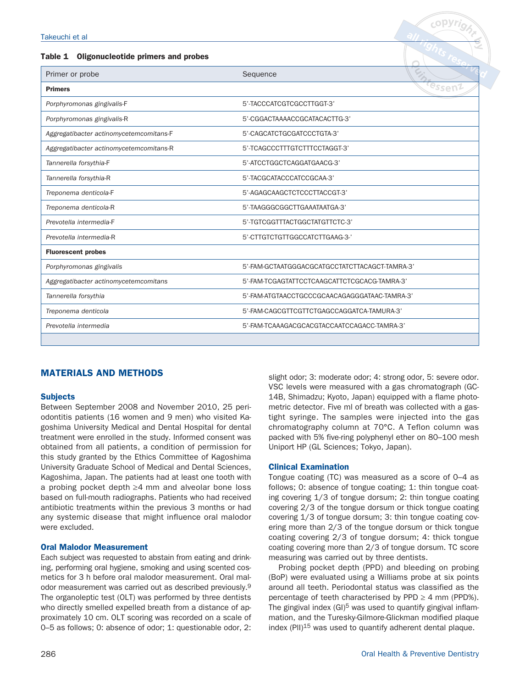#### **Table 1 Oligonucleotide primers and probes**

| Primer or probe                         | Sequence                                       |
|-----------------------------------------|------------------------------------------------|
| <b>Primers</b>                          | Tessenz                                        |
| Porphyromonas gingivalis-F              | 5'-TACCCATCGTCGCCTTGGT-3'                      |
| Porphyromonas gingivalis-R              | 5'-CGGACTAAAACCGCATACACTTG-3'                  |
| Aggregatibacter actinomycetemcomitans-F | 5'-CAGCATCTGCGATCCCTGTA-3'                     |
| Aggregatibacter actinomycetemcomitans-R | 5'-TCAGCCCTTTGTCTTTCCTAGGT-3'                  |
| Tannerella forsythia-F                  | 5'-ATCCTGGCTCAGGATGAACG-3'                     |
| Tannerella forsythia-R                  | 5'-TACGCATACCCATCCGCAA-3'                      |
| Treponema denticola-F                   | 5'-AGAGCAAGCTCTCCCTTACCGT-3'                   |
| Treponema denticola-R                   | 5'-TAAGGGCGGCTTGAAATAATGA-3'                   |
| Prevotella intermedia-F                 | 5'-TGTCGGTTTACTGGCTATGTTCTC-3'                 |
| Prevotella intermedia-R                 | 5'-CTTGTCTGTTGGCCATCTTGAAG-3-'                 |
| <b>Fluorescent probes</b>               |                                                |
| Porphyromonas gingivalis                | 5'-FAM-GCTAATGGGACGCATGCCTATCTTACAGCT-TAMRA-3' |
| Aggregatibacter actinomycetemcomitans   | 5'-FAM-TCGAGTATTCCTCAAGCATTCTCGCACG-TAMRA-3'   |
| Tannerella forsythia                    | 5'-FAM-ATGTAACCTGCCCGCAACAGAGGGATAAC-TAMRA-3'  |
| Treponema denticola                     | 5'-FAM-CAGCGTTCGTTCTGAGCCAGGATCA-TAMURA-3'     |
| Prevotella intermedia                   | 5'-FAM-TCAAAGACGCACGTACCAATCCAGACC-TAMRA-3'    |
|                                         |                                                |

# **MATERIALS AND METHODS**

## **Subjects**

Between September 2008 and November 2010, 25 periodontitis patients (16 women and 9 men) who visited Kagoshima University Medical and Dental Hospital for dental treatment were enrolled in the study. Informed consent was obtained from all patients, a condition of permission for this study granted by the Ethics Committee of Kagoshima University Graduate School of Medical and Dental Sciences, Kagoshima, Japan. The patients had at least one tooth with a probing pocket depth ≥4 mm and alveolar bone loss based on full-mouth radiographs. Patients who had received antibiotic treatments within the previous 3 months or had any systemic disease that might influence oral malodor were excluded.

## **Oral Malodor Measurement**

Each subject was requested to abstain from eating and drinking, performing oral hygiene, smoking and using scented cosmetics for 3 h before oral malodor measurement. Oral malodor measurement was carried out as described previously.9 The organoleptic test (OLT) was performed by three dentists who directly smelled expelled breath from a distance of approximately 10 cm. OLT scoring was recorded on a scale of 0–5 as follows; 0: absence of odor; 1: questionable odor, 2:

slight odor; 3: moderate odor; 4: strong odor, 5: severe odor. VSC levels were measured with a gas chromatograph (GC-14B, Shimadzu; Kyoto, Japan) equipped with a flame photometric detector. Five ml of breath was collected with a gastight syringe. The samples were injected into the gas chromatography column at 70°C. A Teflon column was packed with 5% five-ring polyphenyl ether on 80–100 mesh Uniport HP (GL Sciences; Tokyo, Japan).

## **Clinical Examination**

Tongue coating (TC) was measured as a score of 0–4 as follows; 0: absence of tongue coating; 1: thin tongue coating covering 1/3 of tongue dorsum; 2: thin tongue coating covering 2/3 of the tongue dorsum or thick tongue coating covering 1/3 of tongue dorsum; 3: thin tongue coating covering more than 2/3 of the tongue dorsum or thick tongue coating covering 2/3 of tongue dorsum; 4: thick tongue coating covering more than 2/3 of tongue dorsum. TC score measuring was carried out by three dentists.

Probing pocket depth (PPD) and bleeding on probing (BoP) were evaluated using a Williams probe at six points around all teeth. Periodontal status was classified as the percentage of teeth characterised by PPD  $\geq$  4 mm (PPD%). The gingival index  $(GI)^5$  was used to quantify gingival inflammation, and the Turesky-Gilmore-Glickman modified plaque index  $(PII)^{15}$  was used to quantify adherent dental plaque.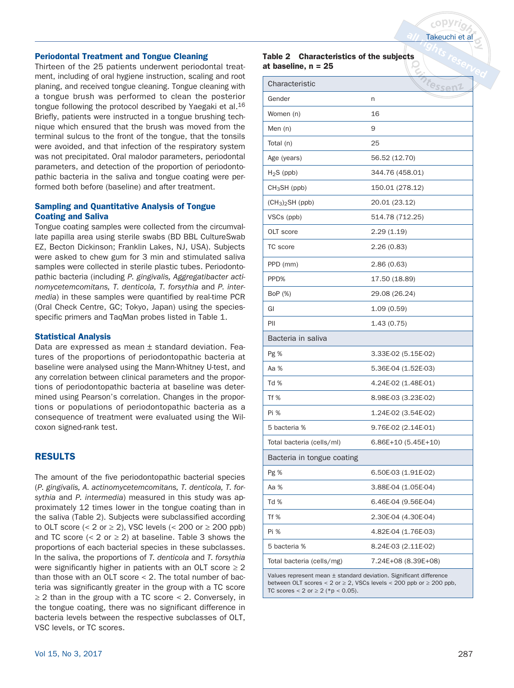#### **Periodontal Treatment and Tongue Cleaning**

Thirteen of the 25 patients underwent periodontal treatment, including of oral hygiene instruction, scaling and root planing, and received tongue cleaning. Tongue cleaning with a tongue brush was performed to clean the posterior tongue following the protocol described by Yaegaki et al.16 Briefly, patients were instructed in a tongue brushing technique which ensured that the brush was moved from the terminal sulcus to the front of the tongue, that the tonsils were avoided, and that infection of the respiratory system was not precipitated. Oral malodor parameters, periodontal parameters, and detection of the proportion of periodontopathic bacteria in the saliva and tongue coating were performed both before (baseline) and after treatment.

## **Sampling and Quantitative Analysis of Tongue Coating and Saliva**

Tongue coating samples were collected from the circumvallate papilla area using sterile swabs (BD BBL CultureSwab EZ, Becton Dickinson; Franklin Lakes, NJ, USA). Subjects were asked to chew gum for 3 min and stimulated saliva samples were collected in sterile plastic tubes. Periodontopathic bacteria (including P. gingivalis, Aggregatibacter actinomycetemcomitans, T. denticola, T. forsythia and P. intermedia) in these samples were quantified by real-time PCR (Oral Check Centre, GC; Tokyo, Japan) using the speciesspecific primers and TaqMan probes listed in Table 1.

#### **Statistical Analysis**

Data are expressed as mean ± standard deviation. Features of the proportions of periodontopathic bacteria at baseline were analysed using the Mann-Whitney U-test, and any correlation between clinical parameters and the proportions of periodontopathic bacteria at baseline was determined using Pearson's correlation. Changes in the proportions or populations of periodontopathic bacteria as a consequence of treatment were evaluated using the Wilcoxon signed-rank test.

# **RESULTS**

The amount of the five periodontopathic bacterial species (P. gingivalis, A. actinomycetemcomitans, T. denticola, T. forsythia and P. intermedia) measured in this study was approximately 12 times lower in the tongue coating than in the saliva (Table 2). Subjects were subclassified according to OLT score (< 2 or  $\geq$  2), VSC levels (< 200 or  $\geq$  200 ppb) and TC score  $(< 2$  or  $\geq 2$ ) at baseline. Table 3 shows the proportions of each bacterial species in these subclasses. In the saliva, the proportions of T. denticola and T. forsythia were significantly higher in patients with an OLT score  $\geq 2$ than those with an OLT score < 2. The total number of bacteria was significantly greater in the group with a TC score  $\geq$  2 than in the group with a TC score < 2. Conversely, in the tongue coating, there was no significant difference in bacteria levels between the respective subclasses of OLT, VSC levels, or TC scores.

#### **Table 2 Characteristics of the subjects at baseline, n = 25**

| Characteristic                                                     | n <sub>tessen1</sub> |  |  |  |  |  |  |
|--------------------------------------------------------------------|----------------------|--|--|--|--|--|--|
| Gender                                                             | n                    |  |  |  |  |  |  |
| Women (n)                                                          | 16                   |  |  |  |  |  |  |
| Men (n)                                                            | 9                    |  |  |  |  |  |  |
| Total (n)                                                          | 25                   |  |  |  |  |  |  |
| Age (years)                                                        | 56.52 (12.70)        |  |  |  |  |  |  |
| $H2S$ (ppb)                                                        | 344.76 (458.01)      |  |  |  |  |  |  |
| $CH_3SH$ (ppb)                                                     | 150.01 (278.12)      |  |  |  |  |  |  |
| $(CH_3)_2$ SH (ppb)                                                | 20.01 (23.12)        |  |  |  |  |  |  |
| VSCs (ppb)                                                         | 514.78 (712.25)      |  |  |  |  |  |  |
| OLT score                                                          | 2.29(1.19)           |  |  |  |  |  |  |
| TC score                                                           | 2.26(0.83)           |  |  |  |  |  |  |
| PPD (mm)                                                           | 2.86(0.63)           |  |  |  |  |  |  |
| PPD%                                                               | 17.50 (18.89)        |  |  |  |  |  |  |
| BoP (%)                                                            | 29.08 (26.24)        |  |  |  |  |  |  |
| GI                                                                 | 1.09(0.59)           |  |  |  |  |  |  |
| PII                                                                | 1.43(0.75)           |  |  |  |  |  |  |
| Bacteria in saliva                                                 |                      |  |  |  |  |  |  |
| Pg %                                                               | 3.33E-02 (5.15E-02)  |  |  |  |  |  |  |
| Aa %                                                               | 5.36E-04 (1.52E-03)  |  |  |  |  |  |  |
| Td %                                                               | 4.24E-02 (1.48E-01)  |  |  |  |  |  |  |
| Tf %                                                               | 8.98E-03 (3.23E-02)  |  |  |  |  |  |  |
| Pi %                                                               | 1.24E-02 (3.54E-02)  |  |  |  |  |  |  |
| 5 bacteria %                                                       | 9.76E-02 (2.14E-01)  |  |  |  |  |  |  |
| Total bacteria (cells/ml)                                          | $6.86E+10(5.45E+10)$ |  |  |  |  |  |  |
| Bacteria in tongue coating                                         |                      |  |  |  |  |  |  |
| Pg %                                                               | 6.50E-03 (1.91E-02)  |  |  |  |  |  |  |
| Aa %                                                               | 3.88E-04 (1.05E-04)  |  |  |  |  |  |  |
| Td %                                                               | 6.46E-04 (9.56E-04)  |  |  |  |  |  |  |
| Tf %                                                               | 2.30E-04 (4.30E-04)  |  |  |  |  |  |  |
| Pi %                                                               | 4.82E-04 (1.76E-03)  |  |  |  |  |  |  |
| 5 bacteria %                                                       | 8.24E-03 (2.11E-02)  |  |  |  |  |  |  |
| Total bacteria (cells/mg)                                          | 7.24E+08 (8.39E+08)  |  |  |  |  |  |  |
| Values represent mean ± standard deviation. Significant difference |                      |  |  |  |  |  |  |

between OLT scores < 2 or  $\geq$  2. VSCs levels < 200 ppb or  $\geq$  200 ppb. TC scores < 2 or  $\geq$  2 (\*p < 0.05).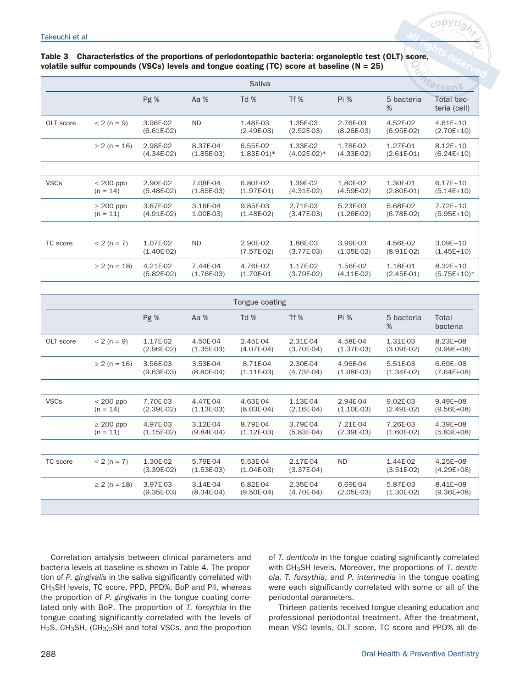# **Table 3 Characteristics of the proportions of periodontopathic bacteria: organoleptic test (OLT) score, volatile sulfur compounds (VSCs) levels and tongue coating (TC) score at baseline (N = 25)**

|             |                              |                          |                          | Cessen <sup>Z</sup>                 |                           |                          |                          |                              |
|-------------|------------------------------|--------------------------|--------------------------|-------------------------------------|---------------------------|--------------------------|--------------------------|------------------------------|
|             |                              | <b>Pg %</b>              | Aa $%$                   | $Td \%$                             | Tf $%$                    | Pi %                     | 5 bacteria<br>%          | Total bac-<br>teria (cell)   |
| OLT score   | $< 2 (n = 9)$                | 3.96E-02<br>$(6.61E-02)$ | <b>ND</b>                | 1.48E-03<br>$(2.49E-03)$            | 1.35E-03<br>$(2.52E-03)$  | 2.76E-03<br>$(8.26E-03)$ | 4.52E-02<br>$(6.95E-02)$ | $4.61E+10$<br>$(2.70E+10)$   |
|             | $\geq$ 2 (n = 16)            | 2.98E-02<br>$(4.34E-02)$ | 8.37E-04<br>$(1.85E-03)$ | 6.55E-02<br>$1.83E-01$ <sup>*</sup> | 1.33E-02<br>$(4.02E-02)*$ | 1.78E-02<br>$(4.33E-02)$ | 1.27E-01<br>$(2.61E-01)$ | $8.12E + 10$<br>$(6.24E+10)$ |
|             |                              |                          |                          |                                     |                           |                          |                          |                              |
| <b>VSCs</b> | $< 200$ ppb<br>$(n = 14)$    | 2.90E-02<br>$(5.48E-02)$ | 7.08E-04<br>$(1.85E-03)$ | 6.80E-02<br>$(1.97E-01)$            | 1.39E-02<br>$(4.31E-02)$  | 1.80E-02<br>$(4.59E-02)$ | 1.30E-01<br>$(2.80E-01)$ | $6.17E + 10$<br>$(5.14E+10)$ |
|             | $\geq 200$ ppb<br>$(n = 11)$ | 3.87E-02<br>$(4.91E-02)$ | 3.16E-04<br>1.00E-03)    | 9.85E-03<br>$(1.48E-02)$            | 2.71E-03<br>$(3.47E-03)$  | 5.23E-03<br>$(1.26E-02)$ | 5.68E-02<br>$(6.78E-02)$ | 7.72E+10<br>$(5.95E+10)$     |
|             |                              |                          |                          |                                     |                           |                          |                          |                              |
| TC score    | $< 2 (n = 7)$                | 1.07E-02<br>$(1.40E-02)$ | <b>ND</b>                | 2.90E-02<br>$(7.57E-02)$            | 1.86E-03<br>$(3.77E-03)$  | 3.99E-03<br>$(1.05E-02)$ | 4.56E-02<br>$(8.91E-02)$ | 3.09E+10<br>$(1.45E+10)$     |
|             | $\geq$ 2 (n = 18)            | 4.21E-02<br>$(5.82E-02)$ | 7.44E-04<br>$(1.76E-03)$ | 4.76E-02<br>$(1.70E-01)$            | 1.17E-02<br>$(3.79E-02)$  | 1.56E-02<br>$(4.11E-02)$ | 1.18E-01<br>$(2.45E-01)$ | $8.32E+10$<br>$(5.75E+10)*$  |

| Tongue coating |                              |                          |                          |                          |                          |                          |                          |                              |  |  |
|----------------|------------------------------|--------------------------|--------------------------|--------------------------|--------------------------|--------------------------|--------------------------|------------------------------|--|--|
|                |                              | <b>Pg %</b>              | Aa %                     | Td%                      | $Tf$ %                   | Pi %                     | 5 bacteria<br>%          | Total<br>bacteria            |  |  |
| OLT score      | $< 2 (n = 9)$                | 1.17E-02<br>$(2.96E-02)$ | 4.50E-04<br>$(1.35E-03)$ | 2.45E-04<br>$(4.07E-04)$ | 2.31E-04<br>$(3.70E-04)$ | 4.58E-04<br>$(1.37E-03)$ | 1.31E-03<br>$(3.09E-02)$ | 8.23E+08<br>$(9.99E+08)$     |  |  |
|                | $\geq$ 2 (n = 16)            | 3.56E-03<br>$(9.63E-03)$ | 3.53E-04<br>$(8.80E-04)$ | 8.71E-04<br>$(1.11E-03)$ | 2.30E-04<br>$(4.73E-04)$ | 4.96E-04<br>$(1.98E-03)$ | 5.51E-03<br>$(1.34E-02)$ | $6.69E + 08$<br>$(7.64E+08)$ |  |  |
|                |                              |                          |                          |                          |                          |                          |                          |                              |  |  |
| <b>VSCs</b>    | $< 200$ ppb<br>$(n = 14)$    | 7.70E-03<br>$(2.39E-02)$ | 4.47E-04<br>$(1.13E-03)$ | 4.63E-04<br>$(8.03E-04)$ | 1.13E-04<br>$(2.16E-04)$ | 2.94E-04<br>$(1.10E-03)$ | 9.02E-03<br>$(2.49E-02)$ | $9.49E + 08$<br>$(9.56E+08)$ |  |  |
|                | $\geq 200$ ppb<br>$(n = 11)$ | 4.97E-03<br>$(1.15E-02)$ | 3.12E-04<br>$(9.84E-04)$ | 8.79E-04<br>$(1.12E-03)$ | 3.79E-04<br>$(5.83E-04)$ | 7.21E-04<br>$(2.39E-03)$ | 7.26E-03<br>$(1.60E-02)$ | 4.39E+08<br>$(5.83E+08)$     |  |  |
|                |                              |                          |                          |                          |                          |                          |                          |                              |  |  |
| TC score       | $< 2 (n = 7)$                | 1.30E-02<br>$(3.39E-02)$ | 5.79E-04<br>$(1.53E-03)$ | 5.53E-04<br>$(1.04E-03)$ | 2.17E-04<br>$(3.37E-04)$ | <b>ND</b>                | 1.44E-02<br>$(3.51E-02)$ | $4.25E + 08$<br>$(4.29E+08)$ |  |  |
|                | $\geq$ 2 (n = 18)            | 3.97E-03<br>$(9.35E-03)$ | 3.14E-04<br>$(8.34E-04)$ | 6.82E-04<br>$(9.50E-04)$ | 2.35E-04<br>$(4.70E-04)$ | 6.69E-04<br>$(2.05E-03)$ | 5.87E-03<br>$(1.30E-02)$ | 8.41E+08<br>$(9.36E + 08)$   |  |  |
|                |                              |                          |                          |                          |                          |                          |                          |                              |  |  |

Correlation analysis between clinical parameters and bacteria levels at baseline is shown in Table 4. The proportion of P. gingivalis in the saliva significantly correlated with CH<sub>3</sub>SH levels, TC score, PPD, PPD%, BoP and PII, whereas the proportion of P. gingivalis in the tongue coating correlated only with BoP. The proportion of T. forsythia in the tongue coating significantly correlated with the levels of H<sub>2</sub>S, CH<sub>3</sub>SH, (CH<sub>3</sub>)<sub>2</sub>SH and total VSCs, and the proportion of T. denticola in the tongue coating significantly correlated with CH<sub>3</sub>SH levels. Moreover, the proportions of T. denticola, T. forsythia, and P. intermedia in the tongue coating were each significantly correlated with some or all of the periodontal parameters.

Thirteen patients received tongue cleaning education and professional periodontal treatment. After the treatment, mean VSC levels, OLT score, TC score and PPD% all de-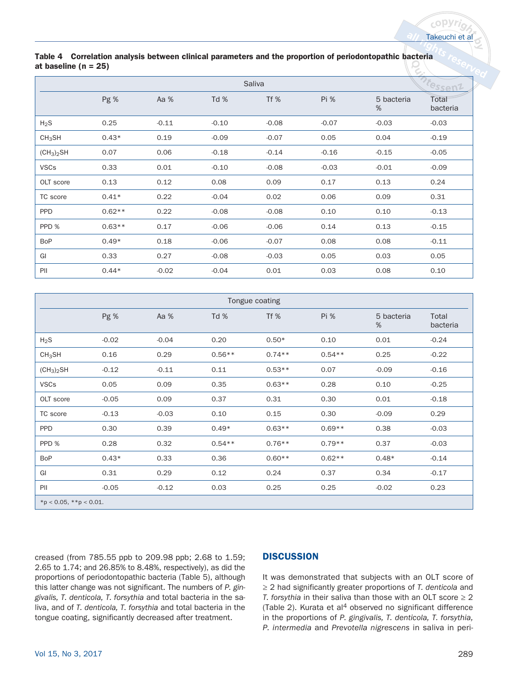**Table 4 Correlation analysis between clinical parameters and the proportion of periodontopathic bacteria at baseline (n = 25)**

|                                    |          |         | Cessen <sup>2</sup> |         |         |                 |                   |
|------------------------------------|----------|---------|---------------------|---------|---------|-----------------|-------------------|
|                                    | Pg %     | Aa %    | Td %                | Tf %    | Pi %    | 5 bacteria<br>% | Total<br>bacteria |
| $H_2S$                             | 0.25     | $-0.11$ | $-0.10$             | $-0.08$ | $-0.07$ | $-0.03$         | $-0.03$           |
| CH <sub>3</sub> SH                 | $0.43*$  | 0.19    | $-0.09$             | $-0.07$ | 0.05    | 0.04            | $-0.19$           |
| (CH <sub>3</sub> ) <sub>2</sub> SH | 0.07     | 0.06    | $-0.18$             | $-0.14$ | $-0.16$ | $-0.15$         | $-0.05$           |
| <b>VSCs</b>                        | 0.33     | 0.01    | $-0.10$             | $-0.08$ | $-0.03$ | $-0.01$         | $-0.09$           |
| OLT score                          | 0.13     | 0.12    | 0.08                | 0.09    | 0.17    | 0.13            | 0.24              |
| TC score                           | $0.41*$  | 0.22    | $-0.04$             | 0.02    | 0.06    | 0.09            | 0.31              |
| <b>PPD</b>                         | $0.62**$ | 0.22    | $-0.08$             | $-0.08$ | 0.10    | 0.10            | $-0.13$           |
| PPD %                              | $0.63**$ | 0.17    | $-0.06$             | $-0.06$ | 0.14    | 0.13            | $-0.15$           |
| <b>BoP</b>                         | $0.49*$  | 0.18    | $-0.06$             | $-0.07$ | 0.08    | 0.08            | $-0.11$           |
| GI                                 | 0.33     | 0.27    | $-0.08$             | $-0.03$ | 0.05    | 0.03            | 0.05              |
| PII                                | $0.44*$  | $-0.02$ | $-0.04$             | 0.01    | 0.03    | 0.08            | 0.10              |

| Tongue coating                     |                        |         |          |          |          |                 |                   |  |  |  |
|------------------------------------|------------------------|---------|----------|----------|----------|-----------------|-------------------|--|--|--|
|                                    | Pg %                   | Aa %    | Td %     | Tf %     | Pi %     | 5 bacteria<br>% | Total<br>bacteria |  |  |  |
| $H_2S$                             | $-0.02$                | $-0.04$ | 0.20     | $0.50*$  | 0.10     | 0.01            | $-0.24$           |  |  |  |
| CH <sub>3</sub> SH                 | 0.16                   | 0.29    | $0.56**$ | $0.74**$ | $0.54**$ | 0.25            | $-0.22$           |  |  |  |
| (CH <sub>3</sub> ) <sub>2</sub> SH | $-0.12$                | $-0.11$ | 0.11     | $0.53**$ | 0.07     | $-0.09$         | $-0.16$           |  |  |  |
| <b>VSCs</b>                        | 0.05                   | 0.09    | 0.35     | $0.63**$ | 0.28     | 0.10            | $-0.25$           |  |  |  |
| OLT score                          | $-0.05$                | 0.09    | 0.37     | 0.31     | 0.30     | 0.01            | $-0.18$           |  |  |  |
| TC score                           | $-0.13$                | $-0.03$ | 0.10     | 0.15     | 0.30     | $-0.09$         | 0.29              |  |  |  |
| <b>PPD</b>                         | 0.30                   | 0.39    | $0.49*$  | $0.63**$ | $0.69**$ | 0.38            | $-0.03$           |  |  |  |
| PPD %                              | 0.28                   | 0.32    | $0.54**$ | $0.76**$ | $0.79**$ | 0.37            | $-0.03$           |  |  |  |
| <b>BoP</b>                         | $0.43*$                | 0.33    | 0.36     | $0.60**$ | $0.62**$ | $0.48*$         | $-0.14$           |  |  |  |
| GI                                 | 0.31                   | 0.29    | 0.12     | 0.24     | 0.37     | 0.34            | $-0.17$           |  |  |  |
| PII                                | $-0.05$                | $-0.12$ | 0.03     | 0.25     | 0.25     | $-0.02$         | 0.23              |  |  |  |
|                                    | *p < 0.05, **p < 0.01. |         |          |          |          |                 |                   |  |  |  |

creased (from 785.55 ppb to 209.98 ppb; 2.68 to 1.59; 2.65 to 1.74; and 26.85% to 8.48%, respectively), as did the proportions of periodontopathic bacteria (Table 5), although this latter change was not significant. The numbers of P. gingivalis, T. denticola, T. forsythia and total bacteria in the saliva, and of T. denticola, T. forsythia and total bacteria in the tongue coating, significantly decreased after treatment.

# **DISCUSSION**

It was demonstrated that subjects with an OLT score of  $\geq$  2 had significantly greater proportions of T. denticola and T. forsythia in their saliva than those with an OLT score  $\geq 2$ (Table 2). Kurata et al4 observed no significant difference in the proportions of P. gingivalis, T. denticola, T. forsythia, P. intermedia and Prevotella nigrescens in saliva in peri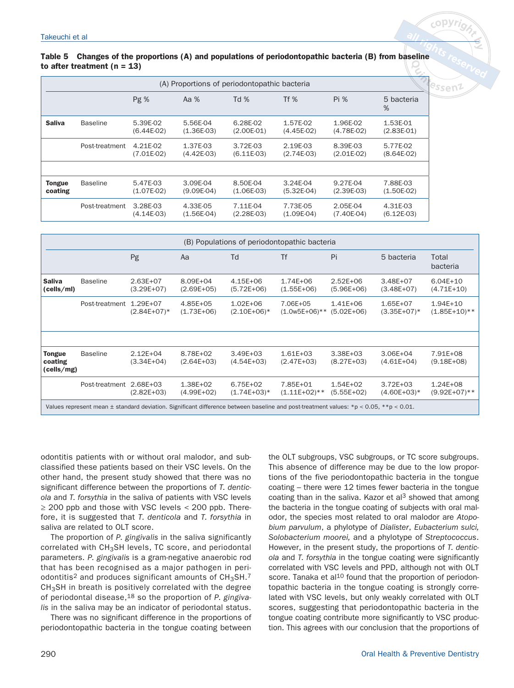**Table 5 Changes of the proportions (A) and populations of periodontopathic bacteria (B) from baseline to after treatment (n = 13)** 

|                          | (A) Proportions of periodontopathic bacteria                         |                          |                          |                          |                          |                          |                          |  |  |  |
|--------------------------|----------------------------------------------------------------------|--------------------------|--------------------------|--------------------------|--------------------------|--------------------------|--------------------------|--|--|--|
|                          | <b>Pg</b> %<br>$Td$ %<br>$Tf$ %<br>Pi %<br>Aa $%$<br>5 bacteria<br>% |                          |                          |                          |                          |                          |                          |  |  |  |
| <b>Saliva</b>            | <b>Baseline</b>                                                      | 5.39E-02<br>$(6.44E-02)$ | 5.56E-04<br>$(1.36E-03)$ | 6.28E-02<br>$(2.00E-01)$ | 1.57E-02<br>$(4.45E-02)$ | 1.96E-02<br>$(4.78E-02)$ | 1.53E-01<br>$(2.83E-01)$ |  |  |  |
|                          | Post-treatment                                                       | 4.21E-02<br>$(7.01E-02)$ | 1.37E-03<br>$(4.42E-03)$ | 3.72E-03<br>$(6.11E-03)$ | 2.19E-03<br>$(2.74E-03)$ | 8.39E-03<br>$(2.01E-02)$ | 5.77E-02<br>$(8.64E-02)$ |  |  |  |
| <b>Tongue</b><br>coating | <b>Baseline</b>                                                      | 5.47E-03<br>$(1.07E-02)$ | 3.09E-04<br>$(9.09E-04)$ | 8.50E-04<br>$(1.06E-03)$ | 3.24E-04<br>$(5.32E-04)$ | 9.27E-04<br>$(2.39E-03)$ | 7.88E-03<br>$(1.50E-02)$ |  |  |  |
|                          | Post-treatment                                                       | 3.28E-03<br>$(4.14E-03)$ | 4.33E-05<br>$(1.56E-04)$ | 7.11E-04<br>$(2.28E-03)$ | 7.73E-05<br>$(1.09E-04)$ | 2.05E-04<br>$(7.40E-04)$ | 4.31E-03<br>$(6.12E-03)$ |  |  |  |

|                                 | (B) Populations of periodontopathic bacteria                                                                                              |                              |                          |                               |                              |                                |                               |                                |  |  |  |  |
|---------------------------------|-------------------------------------------------------------------------------------------------------------------------------------------|------------------------------|--------------------------|-------------------------------|------------------------------|--------------------------------|-------------------------------|--------------------------------|--|--|--|--|
|                                 |                                                                                                                                           | Pg                           | Aa                       | Td                            | Tf                           | Pi                             | 5 bacteria                    | Total<br>bacteria              |  |  |  |  |
| Saliva<br>(cells/ml)            | <b>Baseline</b>                                                                                                                           | $2.63E + 07$<br>$(3.29E+07)$ | 8.09E+04<br>$(2.69E+05)$ | $4.15E + 06$<br>$(5.72E+06)$  | 1.74E+06<br>$(1.55E+06)$     | $2.52E + 06$<br>$(5.96E+06)$   | $3.48E + 07$<br>$(3.48E+07)$  | $6.04E + 10$<br>$(4.71E+10)$   |  |  |  |  |
|                                 | Post-treatment 1.29E+07                                                                                                                   | $(2.84E+07)*$                | 4.85E+05<br>$(1.73E+06)$ | $1.02E + 06$<br>$(2.10E+06)*$ | 7.06E+05<br>$(1.0w5E+06)**$  | $1.41E + 06$<br>$(5.02E + 06)$ | 1.65E+07<br>$(3.35E+07)*$     | $1.94E + 10$<br>$(1.85E+10)**$ |  |  |  |  |
|                                 |                                                                                                                                           |                              |                          |                               |                              |                                |                               |                                |  |  |  |  |
| Tongue<br>coating<br>(cells/mg) | <b>Baseline</b>                                                                                                                           | $2.12E + 04$<br>$(3.34E+04)$ | 8.78E+02<br>$(2.64E+03)$ | $3.49E + 03$<br>$(4.54E+03)$  | $1.61E + 03$<br>$(2.47E+03)$ | $3.38E + 03$<br>$(8.27E+03)$   | $3.06E + 04$<br>$(4.61E+04)$  | 7.91E+08<br>$(9.18E+08)$       |  |  |  |  |
|                                 | Post-treatment                                                                                                                            | $2.68E + 03$<br>$(2.82E+03)$ | 1.38E+02<br>$(4.99E+02)$ | $6.75E + 02$<br>$(1.74E+03)*$ | 7.85E+01<br>$(1.11E+02)**$   | $1.54E + 02$<br>(5.55E+02)     | $3.72E + 03$<br>$(4.60E+03)*$ | $1.24E + 08$<br>$(9.92E+07)**$ |  |  |  |  |
|                                 | Values represent mean $\pm$ standard deviation. Significant difference between baseline and post-treatment values: *p < 0.05, **p < 0.01. |                              |                          |                               |                              |                                |                               |                                |  |  |  |  |

odontitis patients with or without oral malodor, and subclassified these patients based on their VSC levels. On the other hand, the present study showed that there was no significant difference between the proportions of T. denticola and T. forsythia in the saliva of patients with VSC levels  $\geq$  200 ppb and those with VSC levels < 200 ppb. Therefore, it is suggested that T. denticola and T. forsythia in saliva are related to OLT score.

The proportion of P. gingivalis in the saliva significantly correlated with CH<sub>3</sub>SH levels, TC score, and periodontal parameters. P. gingivalis is a gram-negative anaerobic rod that has been recognised as a major pathogen in periodontitis<sup>2</sup> and produces significant amounts of  $CH<sub>3</sub>SH.<sup>7</sup>$  $CH<sub>3</sub>SH$  in breath is positively correlated with the degree of periodontal disease,  $18$  so the proportion of P. gingivalis in the saliva may be an indicator of periodontal status.

There was no significant difference in the proportions of periodontopathic bacteria in the tongue coating between the OLT subgroups, VSC subgroups, or TC score subgroups. This absence of difference may be due to the low proportions of the five periodontopathic bacteria in the tongue coating – there were 12 times fewer bacteria in the tongue coating than in the saliva. Kazor et al<sup>3</sup> showed that among the bacteria in the tongue coating of subjects with oral malodor, the species most related to oral malodor are Atopobium parvulum, a phylotype of Dialister, Eubacterium sulci, Solobacterium moorei, and a phylotype of Streptococcus. However, in the present study, the proportions of T. denticola and T. forsythia in the tongue coating were significantly correlated with VSC levels and PPD, although not with OLT score. Tanaka et al $10$  found that the proportion of periodontopathic bacteria in the tongue coating is strongly correlated with VSC levels, but only weakly correlated with OLT scores, suggesting that periodontopathic bacteria in the tongue coating contribute more significantly to VSC production. This agrees with our conclusion that the proportions of